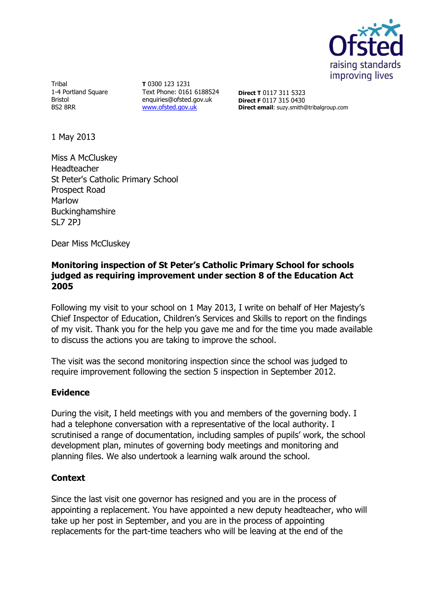

Tribal 1-4 Portland Square Bristol BS2 8RR

**T** 0300 123 1231 Text Phone: 0161 6188524 enquiries@ofsted.gov.uk [www.ofsted.gov.uk](http://www.ofsted.gov.uk/)

**Direct T** 0117 311 5323 **Direct F** 0117 315 0430 **Direct email**: suzy.smith@tribalgroup.com

1 May 2013

Miss A McCluskey Headteacher St Peter's Catholic Primary School Prospect Road Marlow Buckinghamshire SL7 2PJ

Dear Miss McCluskey

# **Monitoring inspection of St Peter's Catholic Primary School for schools judged as requiring improvement under section 8 of the Education Act 2005**

Following my visit to your school on 1 May 2013, I write on behalf of Her Majesty's Chief Inspector of Education, Children's Services and Skills to report on the findings of my visit. Thank you for the help you gave me and for the time you made available to discuss the actions you are taking to improve the school.

The visit was the second monitoring inspection since the school was judged to require improvement following the section 5 inspection in September 2012.

## **Evidence**

During the visit, I held meetings with you and members of the governing body. I had a telephone conversation with a representative of the local authority. I scrutinised a range of documentation, including samples of pupils' work, the school development plan, minutes of governing body meetings and monitoring and planning files. We also undertook a learning walk around the school.

## **Context**

Since the last visit one governor has resigned and you are in the process of appointing a replacement. You have appointed a new deputy headteacher, who will take up her post in September, and you are in the process of appointing replacements for the part-time teachers who will be leaving at the end of the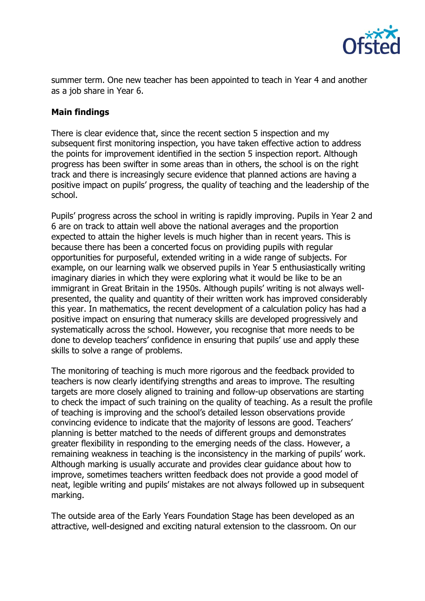

summer term. One new teacher has been appointed to teach in Year 4 and another as a job share in Year 6.

# **Main findings**

There is clear evidence that, since the recent section 5 inspection and my subsequent first monitoring inspection, you have taken effective action to address the points for improvement identified in the section 5 inspection report. Although progress has been swifter in some areas than in others, the school is on the right track and there is increasingly secure evidence that planned actions are having a positive impact on pupils' progress, the quality of teaching and the leadership of the school.

Pupils' progress across the school in writing is rapidly improving. Pupils in Year 2 and 6 are on track to attain well above the national averages and the proportion expected to attain the higher levels is much higher than in recent years. This is because there has been a concerted focus on providing pupils with regular opportunities for purposeful, extended writing in a wide range of subjects. For example, on our learning walk we observed pupils in Year 5 enthusiastically writing imaginary diaries in which they were exploring what it would be like to be an immigrant in Great Britain in the 1950s. Although pupils' writing is not always wellpresented, the quality and quantity of their written work has improved considerably this year. In mathematics, the recent development of a calculation policy has had a positive impact on ensuring that numeracy skills are developed progressively and systematically across the school. However, you recognise that more needs to be done to develop teachers' confidence in ensuring that pupils' use and apply these skills to solve a range of problems.

The monitoring of teaching is much more rigorous and the feedback provided to teachers is now clearly identifying strengths and areas to improve. The resulting targets are more closely aligned to training and follow-up observations are starting to check the impact of such training on the quality of teaching. As a result the profile of teaching is improving and the school's detailed lesson observations provide convincing evidence to indicate that the majority of lessons are good. Teachers' planning is better matched to the needs of different groups and demonstrates greater flexibility in responding to the emerging needs of the class. However, a remaining weakness in teaching is the inconsistency in the marking of pupils' work. Although marking is usually accurate and provides clear guidance about how to improve, sometimes teachers written feedback does not provide a good model of neat, legible writing and pupils' mistakes are not always followed up in subsequent marking.

The outside area of the Early Years Foundation Stage has been developed as an attractive, well-designed and exciting natural extension to the classroom. On our